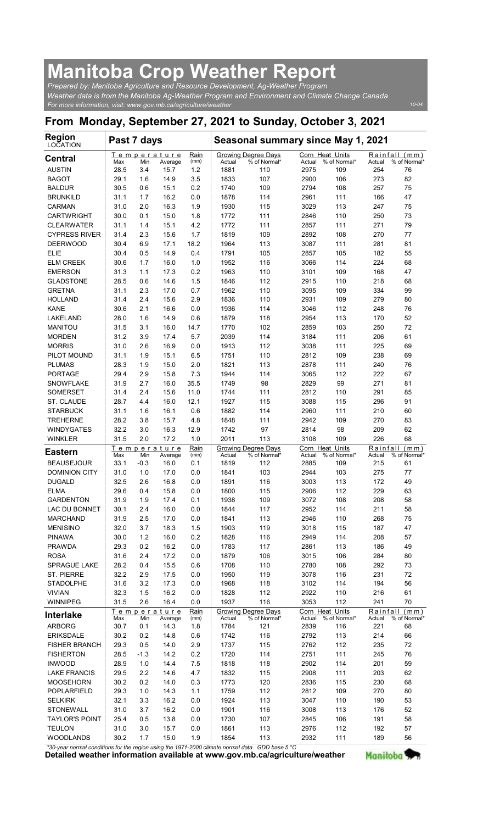## Manitoba Crop Weather Report

| <b>Manitoba Crop Weather Report</b>                                                                                                                              |             |            |                                |                     |                |                                            |                |                                        |               |                                     |
|------------------------------------------------------------------------------------------------------------------------------------------------------------------|-------------|------------|--------------------------------|---------------------|----------------|--------------------------------------------|----------------|----------------------------------------|---------------|-------------------------------------|
| Prepared by: Manitoba Agriculture and Resource Development, Ag-Weather Program                                                                                   |             |            |                                |                     |                |                                            |                |                                        |               |                                     |
| Weather data is from the Manitoba Ag-Weather Program and Environment and Climate Change Canada<br>For more information, visit: www.gov.mb.ca/agriculture/weather |             |            |                                |                     |                |                                            |                |                                        |               | $10 - 04$                           |
| From Monday, September 27, 2021 to Sunday, October 3, 2021                                                                                                       |             |            |                                |                     |                |                                            |                |                                        |               |                                     |
| <b>Region</b><br>LOCATION                                                                                                                                        | Past 7 days |            |                                |                     |                | Seasonal summary since May 1, 2021         |                |                                        |               |                                     |
| <b>Central</b><br><b>AUSTIN</b>                                                                                                                                  | Max<br>28.5 | Min<br>3.4 | Temperature<br>Average<br>15.7 | Rain<br>(mm)<br>1.2 | Actual<br>1881 | Growing Degree Days<br>% of Normal*<br>110 | Actual<br>2975 | Corn Heat Units<br>% of Normal*<br>109 | Actual<br>254 | Rainfall (mm)<br>% of Normal'<br>76 |
| <b>BAGOT</b>                                                                                                                                                     | 29.1        | 1.6        | 14.9                           | 3.5                 | 1833           | 107                                        | 2900           | 106                                    | 273           | 82                                  |
| <b>BALDUR</b>                                                                                                                                                    | 30.5        | 0.6        | 15.1                           | 0.2                 | 1740           | 109                                        | 2794           | 108                                    | 257           | 75                                  |
| <b>BRUNKILD</b>                                                                                                                                                  | 31.1        | 1.7        | 16.2                           | 0.0                 | 1878           | 114                                        | 2961           | 111                                    | 166           | 47                                  |
| <b>CARMAN</b>                                                                                                                                                    | 31.0        | 2.0        | 16.3                           | 1.9                 | 1930           | 115                                        | 3029           | 113                                    | 247           | 75                                  |
| <b>CARTWRIGHT</b>                                                                                                                                                | 30.0        | 0.1        | 15.0                           | 1.8                 | 1772           | 111                                        | 2846           | 110                                    | 250           | 73                                  |
| <b>CLEARWATER</b>                                                                                                                                                | 31.1        | 1.4        | 15.1                           | 4.2                 | 1772           | 111                                        | 2857           | 111                                    | 271           | 79                                  |
| <b>CYPRESS RIVER</b>                                                                                                                                             | 31.4        | 2.3        | 15.6                           | 1.7                 | 1819           | 109                                        | 2892           | 108                                    | 270           | 77                                  |
| <b>DEERWOOD</b>                                                                                                                                                  | 30.4        | 6.9        | 17.1                           | 18.2                | 1964           | 113                                        | 3087           | 111                                    | 281           | 81                                  |
| <b>ELIE</b>                                                                                                                                                      | 30.4        | 0.5        | 14.9                           | 0.4                 | 1791           | 105                                        | 2857           | 105                                    | 182           | 55                                  |
| <b>ELM CREEK</b>                                                                                                                                                 | 30.6        | 1.7        | 16.0                           | 1.0                 | 1952           | 116                                        | 3066           | 114                                    | 224           | 68                                  |
| <b>EMERSON</b>                                                                                                                                                   | 31.3        | 1.1        | 17.3                           | 0.2                 | 1963           | 110                                        | 3101           | 109                                    | 168           | 47                                  |
| <b>GLADSTONE</b>                                                                                                                                                 | 28.5        | 0.6        | 14.6                           | 1.5                 | 1846           | 112                                        | 2915           | 110                                    | 218           | 68                                  |
| <b>GRETNA</b>                                                                                                                                                    | 31.1        | 2.3        | 17.0                           | 0.7                 | 1962           | 110                                        | 3095           | 109                                    | 334           |                                     |
| <b>HOLLAND</b>                                                                                                                                                   | 31.4        | 2.4        | 15.6                           | 2.9                 | 1836           | 110                                        | 2931           | 109                                    | 279           | 99<br>80                            |
| <b>KANE</b>                                                                                                                                                      | 30.6        | 2.1        | 16.6                           | 0.0                 | 1936           | 114                                        | 3046           | 112                                    | 248           | 76                                  |
| LAKELAND                                                                                                                                                         | 28.0        | 1.6        | 14.9                           | 0.6                 | 1879           | 118                                        | 2954           | 113                                    | 170           | 52                                  |
| <b>MANITOU</b>                                                                                                                                                   | 31.5        | 3.1        | 16.0                           | 14.7                | 1770           | 102                                        | 2859           | 103                                    | 250           | 72                                  |
| <b>MORDEN</b>                                                                                                                                                    | 31.2        | 3.9        | 17.4                           | 5.7                 | 2039           | 114                                        | 3184           | 111                                    | 206           | 61                                  |
| <b>MORRIS</b>                                                                                                                                                    | 31.0        | 2.6        | 16.9                           | 0.0                 | 1913           | 112                                        | 3038           | 111                                    | 225           | 69                                  |
| PILOT MOUND                                                                                                                                                      | 31.1        | 1.9        | 15.1                           | 6.5                 | 1751           | 110                                        | 2812           | 109                                    | 238           | 69                                  |
| <b>PLUMAS</b>                                                                                                                                                    | 28.3        | 1.9        | 15.0                           | 2.0                 | 1821           | 113                                        | 2878           | 111                                    | 240           | 76                                  |
| PORTAGE                                                                                                                                                          | 29.4        | 2.9        | 15.8                           | 7.3                 | 1944           | 114                                        | 3065           | 112                                    | 222           | 67                                  |
| <b>SNOWFLAKE</b>                                                                                                                                                 | 31.9        | 2.7        | 16.0                           | 35.5                | 1749           | 98                                         | 2829           | 99                                     | 271           | 81                                  |
| SOMERSET                                                                                                                                                         | 31.4        | 2.4        | 15.6                           | 11.0                | 1744           | 111                                        | 2812           | 110                                    | 291           | 85                                  |
| ST. CLAUDE                                                                                                                                                       | 28.7        | 4.4        | 16.0                           | 12.1                | 1927           | 115                                        | 3088           | 115                                    | 296           | 91                                  |
| <b>STARBUCK</b>                                                                                                                                                  | 31.1        | 1.6        | 16.1                           | 0.6                 | 1882           | 114                                        | 2960           | 111                                    | 210           | 60                                  |
| <b>TREHERNE</b>                                                                                                                                                  | 28.2        | 3.8        | 15.7                           | 4.8                 | 1848           | 111                                        | 2942           | 109                                    | 270           | 83                                  |
| <b>WINDYGATES</b>                                                                                                                                                | 32.2        | 3.0        | 16.3                           | 12.9                | 1742           | 97                                         | 2814           | 98                                     | 209           | 62                                  |
| <b>WINKLER</b>                                                                                                                                                   | 31.5        | 2.0        | 17.2                           | 1.0                 | 2011           | 113                                        | 3108           | 109                                    | 226           | 68                                  |
| <b>Eastern</b>                                                                                                                                                   | Max         | Min        | Temperature<br>Average         | Rain<br>(mm)        | Actual         | Growing Degree Days<br>% of Normal*        | Actual         | Corn Heat Units<br>% of Normal*        | Actual        | Rainfall (mm)<br>% of Normal*       |
| <b>BEAUSEJOUR</b>                                                                                                                                                | 33.1        | $-0.3$     | 16.0                           | 0.1                 | 1819           | 112                                        | 2885           | 109                                    | 215           | 61                                  |
| <b>DOMINION CITY</b>                                                                                                                                             | 31.0        | 1.0        | 17.0                           | 0.0                 | 1841           | 103                                        | 2944           | 103                                    | 275           | 77                                  |
| <b>DUGALD</b>                                                                                                                                                    | 32.5        | 2.6        | 16.8                           | 0.0                 | 1891           | 116                                        | 3003           | 113                                    | 172           | 49                                  |
| ELMA                                                                                                                                                             | 29.6        | 0.4        | 15.8                           | 0.0                 | 1800           | 115                                        | 2906           | 112                                    | 229           | 63                                  |
| <b>GARDENTON</b>                                                                                                                                                 | 31.9        | 1.9        | 17.4                           | 0.1                 | 1938           | 109                                        | 3072           | 108                                    | 208           | 58                                  |
| LAC DU BONNET                                                                                                                                                    | 30.1        | 2.4        | 16.0                           | 0.0                 | 1844           | 117                                        | 2952           | 114                                    | 211           | 58                                  |
| <b>MARCHAND</b>                                                                                                                                                  | 31.9        | 2.5        | 17.0                           | 0.0                 | 1841           | 113                                        | 2946           | 110                                    | 268           | 75                                  |
| <b>MENISINO</b>                                                                                                                                                  | 32.0        | 3.7        | 18.3                           | 1.5                 | 1903           | 119                                        | 3018           | 115                                    | 187           | 47                                  |
| <b>PINAWA</b>                                                                                                                                                    | 30.0        | 1.2        | 16.0                           | 0.2                 | 1828           | 116                                        | 2949           | 114                                    | 208           | 57                                  |
| <b>PRAWDA</b>                                                                                                                                                    | 29.3        | 0.2        | 16.2                           | 0.0                 | 1783           | 117                                        | 2861           | 113                                    | 186           | 49                                  |
| <b>ROSA</b>                                                                                                                                                      | 31.6        | 2.4        | 17.2                           | 0.0                 | 1879           | 106                                        | 3015           | 106                                    | 284           | 80                                  |
| SPRAGUE LAKE                                                                                                                                                     | 28.2        | 0.4        | 15.5                           | 0.6                 | 1708           | 110                                        | 2780           | 108                                    | 292           | 73                                  |
| <b>ST. PIERRE</b>                                                                                                                                                | 32.2        | 2.9        | 17.5                           | 0.0                 | 1950           | 119                                        | 3078           | 116                                    | 231           | 72                                  |
| <b>STADOLPHE</b>                                                                                                                                                 | 31.6        | 3.2        | 17.3                           | 0.0                 | 1968           | 118                                        | 3102           | 114                                    | 194           | 56                                  |
| <b>VIVIAN</b>                                                                                                                                                    | 32.3        | 1.5        | 16.2                           | 0.0                 | 1828           | 112                                        | 2922           | 110                                    | 216           | 61                                  |
| WINNIPEG<br><b>Interlake</b>                                                                                                                                     | 31.5        | 2.6        | 16.4<br>Temperature            | 0.0<br>Rain         | 1937           | 116<br><b>Growing Degree Days</b>          | 3053           | 112<br>Corn Heat Units                 | 241           | 70<br>Rainfall (mm)                 |
| ARBORG                                                                                                                                                           | Max         | Min        | Average                        | (mm)                | Actual         | % of Normal*                               | Actual         | % of Normal*                           | Actual        | % of Normal                         |
|                                                                                                                                                                  | 30.7        | 0.1        | 14.3                           | 1.8                 | 1784           | 121                                        | 2839           | 116                                    | 221           | 68                                  |
| <b>ERIKSDALE</b>                                                                                                                                                 | 30.2        | 0.2        | 14.8                           | 0.6                 | 1742           | 116                                        | 2792           | 113                                    | 214           | 66                                  |
| FISHER BRANCH                                                                                                                                                    | 29.3        | 0.5        | 14.0                           | 2.9                 | 1737           | 115                                        | 2762           | 112                                    | 235           | 72                                  |
| <b>FISHERTON</b>                                                                                                                                                 | 28.5        | $-1.3$     | 14.2                           | 0.2                 | 1720           | 114                                        | 2751           | 111                                    | 245           | 76                                  |
| <b>INWOOD</b>                                                                                                                                                    | 28.9        | 1.0        | 14.4                           | 7.5                 | 1818           | 118                                        | 2902           | 114                                    | 201           | 59                                  |
| <b>LAKE FRANCIS</b>                                                                                                                                              | 29.5        | $2.2\,$    | 14.6                           | 4.7                 | 1832           | 115                                        | 2908           | 111                                    | 203           | 62                                  |
| <b>MOOSEHORN</b>                                                                                                                                                 | 30.2        | 0.2        | 14.0                           | 0.3                 | 1773           | 120                                        | 2836           | 115                                    | 230           | 68                                  |
| POPLARFIELD                                                                                                                                                      | 29.3        | $1.0$      | 14.3                           | 1.1                 | 1759           | 112                                        | 2812           | 109                                    | 270           | 80                                  |
| <b>SELKIRK</b>                                                                                                                                                   | 32.1        | 3.3        | 16.2                           | 0.0                 | 1924           | 113                                        | 3047           | 110                                    | 190           | 53                                  |
| <b>STONEWALL</b>                                                                                                                                                 | 31.0        | 3.7        | 16.2                           | 0.0                 | 1901           | 116                                        | 3008           | 113                                    | 176           | 52                                  |
| <b>TAYLOR'S POINT</b>                                                                                                                                            | 25.4        | 0.5        | 13.8                           | 0.0                 | 1730           | 107                                        | 2845           | 106                                    | 191           | 58                                  |
| <b>TEULON</b>                                                                                                                                                    | 31.0        | 3.0        | 15.7                           | 0.0                 | 1861           | 113                                        | 2976           | 112                                    | 192           | 57                                  |
| WOODLANDS                                                                                                                                                        | 30.2        | 1.7        | 15.0                           | 1.9                 | 1854           | 113                                        | 2932           | 111                                    | 189           | 56                                  |

Detailed weather information available at www.gov.mb.ca/agriculture/weather Manitoba \*30-year normal conditions for the region using the 1971-2000 climate normal data. GDD base 5 °C